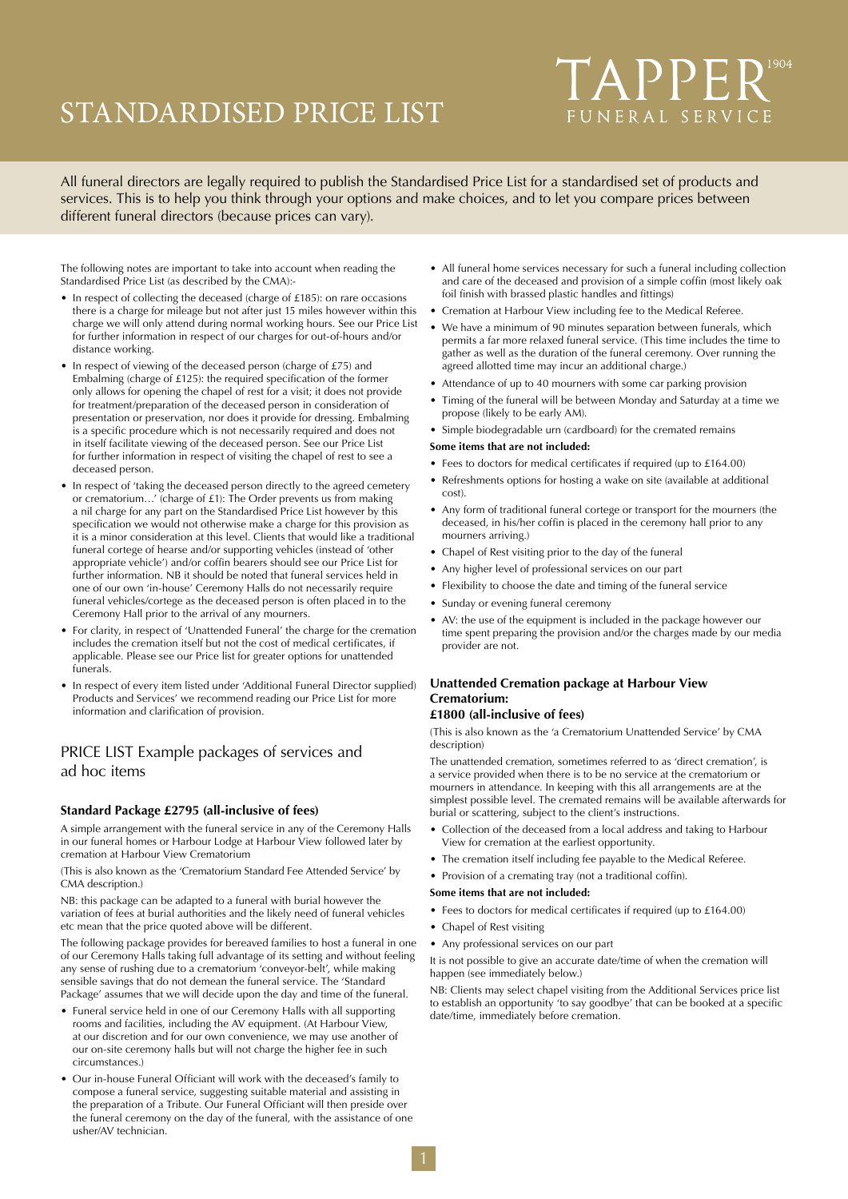# STANDARDISED PRICE LIST

# TAPPER<sup>1904</sup> FUNERAL SERVICE

All funeral directors are legally required to publish the Standardised Price List for a standardised set of products and services. This is to help you think through your options and make choices, and to let you compare prices between different funeral directors (because prices can vary).

The following notes are important to take into account when reading the Standardised Price List (as described by the CMA):-

- In respect of collecting the deceased (charge of £185): on rare occasions there is a charge for mileage but not after just 15 miles however within this charge we will only attend during normal working hours. See our Price List for further information in respect of our charges for out-of-hours and/or distance working.
- In respect of viewing of the deceased person (charge of £75) and Embalming (charge of £125): the required specification of the former only allows for opening the chapel of rest for a visit; it does not provide for treatment/preparation of the deceased person in consideration of presentation or preservation, nor does it provide for dressing. Embalming is a specific procedure which is not necessarily required and does not in itself facilitate viewing of the deceased person. See our Price List for further information in respect of visiting the chapel of rest to see a deceased person.
- In respect of 'taking the deceased person directly to the agreed cemetery or crematorium…' (charge of £1): The Order prevents us from making a nil charge for any part on the Standardised Price List however by this specification we would not otherwise make a charge for this provision as it is a minor consideration at this level. Clients that would like a traditional funeral cortege of hearse and/or supporting vehicles (instead of 'other appropriate vehicle') and/or coffin bearers should see our Price List for further information. NB it should be noted that funeral services held in one of our own 'in-house' Ceremony Halls do not necessarily require funeral vehicles/cortege as the deceased person is often placed in to the Ceremony Hall prior to the arrival of any mourners.
- For clarity, in respect of 'Unattended Funeral' the charge for the cremation includes the cremation itself but not the cost of medical certificates, if applicable. Please see our Price list for greater options for unattended funerals.
- In respect of every item listed under 'Additional Funeral Director supplied) Products and Services' we recommend reading our Price List for more information and clarification of provision.

## PRICE LIST Example packages of services and ad hoc items

### **Standard Package £2795 (all-inclusive of fees)**

A simple arrangement with the funeral service in any of the Ceremony Halls in our funeral homes or Harbour Lodge at Harbour View followed later by cremation at Harbour View Crematorium

(This is also known as the 'Crematorium Standard Fee Attended Service' by CMA description.)

NB: this package can be adapted to a funeral with burial however the variation of fees at burial authorities and the likely need of funeral vehicles etc mean that the price quoted above will be different.

The following package provides for bereaved families to host a funeral in one of our Ceremony Halls taking full advantage of its setting and without feeling any sense of rushing due to a crematorium 'conveyor-belt', while making sensible savings that do not demean the funeral service. The 'Standard Package' assumes that we will decide upon the day and time of the funeral.

- Funeral service held in one of our Ceremony Halls with all supporting rooms and facilities, including the AV equipment. (At Harbour View, at our discretion and for our own convenience, we may use another of our on-site ceremony halls but will not charge the higher fee in such circumstances.)
- Our in-house Funeral Officiant will work with the deceased's family to compose a funeral service, suggesting suitable material and assisting in the preparation of a Tribute. Our Funeral Officiant will then preside over the funeral ceremony on the day of the funeral, with the assistance of one usher/AV technician.
- All funeral home services necessary for such a funeral including collection and care of the deceased and provision of a simple coffin (most likely oak foil finish with brassed plastic handles and fittings)
- Cremation at Harbour View including fee to the Medical Referee.
- We have a minimum of 90 minutes separation between funerals, which permits a far more relaxed funeral service. (This time includes the time to gather as well as the duration of the funeral ceremony. Over running the agreed allotted time may incur an additional charge.)
- Attendance of up to 40 mourners with some car parking provision
- Timing of the funeral will be between Monday and Saturday at a time we propose (likely to be early AM).
- Simple biodegradable urn (cardboard) for the cremated remains

#### **Some items that are not included:**

- Fees to doctors for medical certificates if required (up to £164.00)
- Refreshments options for hosting a wake on site (available at additional cost).
- Any form of traditional funeral cortege or transport for the mourners (the deceased, in his/her coffin is placed in the ceremony hall prior to any mourners arriving.)
- Chapel of Rest visiting prior to the day of the funeral
- Any higher level of professional services on our part
- Flexibility to choose the date and timing of the funeral service
- Sunday or evening funeral ceremony
- AV: the use of the equipment is included in the package however our time spent preparing the provision and/or the charges made by our media provider are not.

# **Unattended Cremation package at Harbour View Crematorium:**

### **£1800 (all-inclusive of fees)**

(This is also known as the 'a Crematorium Unattended Service' by CMA description)

The unattended cremation, sometimes referred to as 'direct cremation', is a service provided when there is to be no service at the crematorium or mourners in attendance. In keeping with this all arrangements are at the simplest possible level. The cremated remains will be available afterwards for burial or scattering, subject to the client's instructions.

- Collection of the deceased from a local address and taking to Harbour View for cremation at the earliest opportunity.
- The cremation itself including fee payable to the Medical Referee.
- Provision of a cremating tray (not a traditional coffin).

#### **Some items that are not included:**

- Fees to doctors for medical certificates if required (up to £164.00)
- Chapel of Rest visiting
- Any professional services on our part

It is not possible to give an accurate date/time of when the cremation will happen (see immediately below.)

NB: Clients may select chapel visiting from the Additional Services price list to establish an opportunity 'to say goodbye' that can be booked at a specific date/time, immediately before cremation.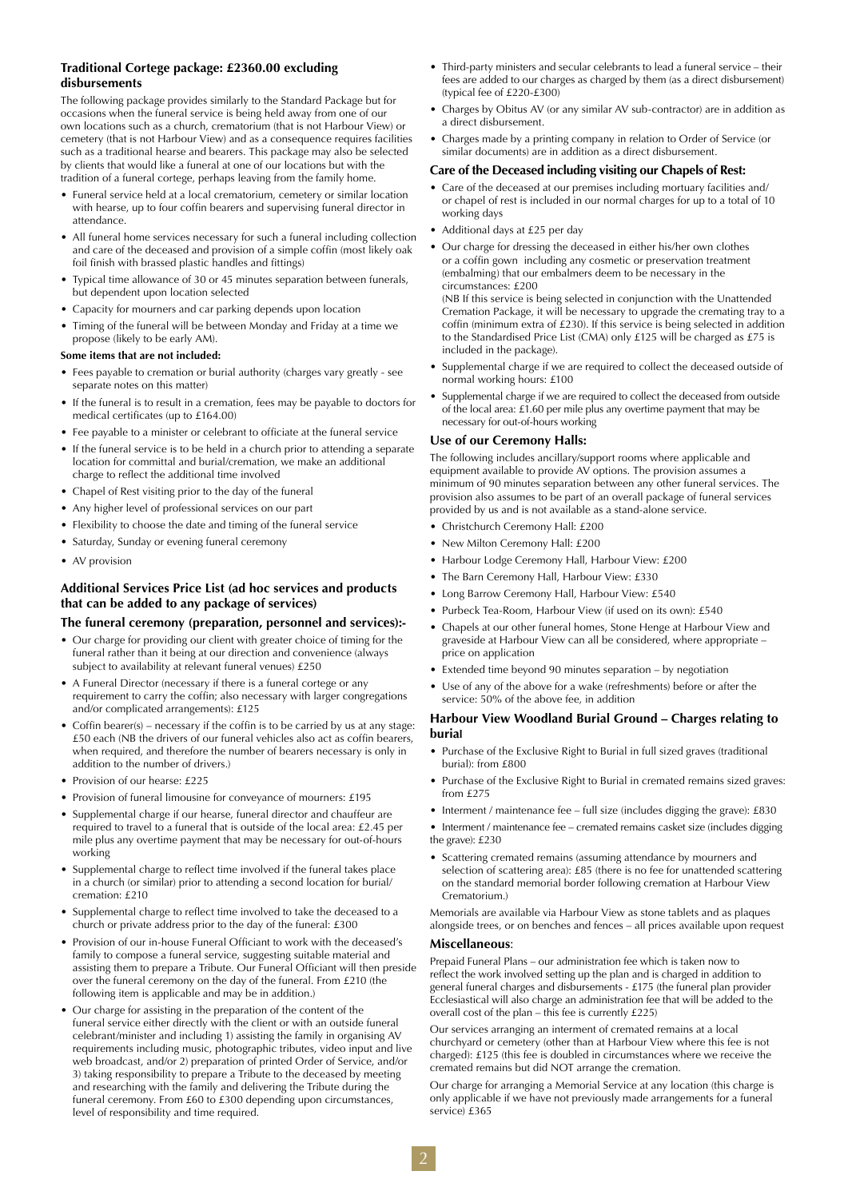### **Traditional Cortege package: £2360.00 excluding disbursements**

The following package provides similarly to the Standard Package but for occasions when the funeral service is being held away from one of our own locations such as a church, crematorium (that is not Harbour View) or cemetery (that is not Harbour View) and as a consequence requires facilities such as a traditional hearse and bearers. This package may also be selected by clients that would like a funeral at one of our locations but with the tradition of a funeral cortege, perhaps leaving from the family home.

- Funeral service held at a local crematorium, cemetery or similar location with hearse, up to four coffin bearers and supervising funeral director in attendance.
- All funeral home services necessary for such a funeral including collection and care of the deceased and provision of a simple coffin (most likely oak foil finish with brassed plastic handles and fittings)
- Typical time allowance of 30 or 45 minutes separation between funerals, but dependent upon location selected
- Capacity for mourners and car parking depends upon location
- Timing of the funeral will be between Monday and Friday at a time we propose (likely to be early AM).

#### **Some items that are not included:**

- Fees payable to cremation or burial authority (charges vary greatly see separate notes on this matter)
- If the funeral is to result in a cremation, fees may be payable to doctors for medical certificates (up to £164.00)
- Fee payable to a minister or celebrant to officiate at the funeral service
- If the funeral service is to be held in a church prior to attending a separate location for committal and burial/cremation, we make an additional charge to reflect the additional time involved
- Chapel of Rest visiting prior to the day of the funeral
- Any higher level of professional services on our part
- Flexibility to choose the date and timing of the funeral service
- Saturday, Sunday or evening funeral ceremony
- AV provision

#### **Additional Services Price List (ad hoc services and products that can be added to any package of services)**

#### **The funeral ceremony (preparation, personnel and services):-**

- Our charge for providing our client with greater choice of timing for the funeral rather than it being at our direction and convenience (always subject to availability at relevant funeral venues) £250
- A Funeral Director (necessary if there is a funeral cortege or any requirement to carry the coffin; also necessary with larger congregations and/or complicated arrangements): £125
- Coffin bearer(s) necessary if the coffin is to be carried by us at any stage: £50 each (NB the drivers of our funeral vehicles also act as coffin bearers, when required, and therefore the number of bearers necessary is only in addition to the number of drivers.)
- Provision of our hearse: £225
- Provision of funeral limousine for conveyance of mourners: £195
- Supplemental charge if our hearse, funeral director and chauffeur are required to travel to a funeral that is outside of the local area: £2.45 per mile plus any overtime payment that may be necessary for out-of-hours working
- Supplemental charge to reflect time involved if the funeral takes place in a church (or similar) prior to attending a second location for burial/ cremation: £210
- Supplemental charge to reflect time involved to take the deceased to a church or private address prior to the day of the funeral: £300
- Provision of our in-house Funeral Officiant to work with the deceased's family to compose a funeral service, suggesting suitable material and assisting them to prepare a Tribute. Our Funeral Officiant will then preside over the funeral ceremony on the day of the funeral. From £210 (the following item is applicable and may be in addition.)
- Our charge for assisting in the preparation of the content of the funeral service either directly with the client or with an outside funeral celebrant/minister and including 1) assisting the family in organising AV requirements including music, photographic tributes, video input and live web broadcast, and/or 2) preparation of printed Order of Service, and/or 3) taking responsibility to prepare a Tribute to the deceased by meeting and researching with the family and delivering the Tribute during the funeral ceremony. From £60 to £300 depending upon circumstances, level of responsibility and time required.
- Third-party ministers and secular celebrants to lead a funeral service their fees are added to our charges as charged by them (as a direct disbursement) (typical fee of £220-£300)
- Charges by Obitus AV (or any similar AV sub-contractor) are in addition as a direct disbursement.
- Charges made by a printing company in relation to Order of Service (or similar documents) are in addition as a direct disbursement.

#### **Care of the Deceased including visiting our Chapels of Rest:**

- Care of the deceased at our premises including mortuary facilities and/ or chapel of rest is included in our normal charges for up to a total of 10 working days
- Additional days at £25 per day
- Our charge for dressing the deceased in either his/her own clothes or a coffin gown including any cosmetic or preservation treatment (embalming) that our embalmers deem to be necessary in the circumstances: £200

(NB If this service is being selected in conjunction with the Unattended Cremation Package, it will be necessary to upgrade the cremating tray to a coffin (minimum extra of £230). If this service is being selected in addition to the Standardised Price List (CMA) only £125 will be charged as £75 is included in the package).

- Supplemental charge if we are required to collect the deceased outside of normal working hours: £100
- Supplemental charge if we are required to collect the deceased from outside of the local area: £1.60 per mile plus any overtime payment that may be necessary for out-of-hours working

#### **Use of our Ceremony Halls:**

The following includes ancillary/support rooms where applicable and equipment available to provide AV options. The provision assumes a minimum of 90 minutes separation between any other funeral services. The provision also assumes to be part of an overall package of funeral services provided by us and is not available as a stand-alone service.

- Christchurch Ceremony Hall: £200
- New Milton Ceremony Hall: £200
- Harbour Lodge Ceremony Hall, Harbour View: £200
- The Barn Ceremony Hall, Harbour View: £330
- Long Barrow Ceremony Hall, Harbour View: £540
- Purbeck Tea-Room, Harbour View (if used on its own): £540
- Chapels at our other funeral homes, Stone Henge at Harbour View and graveside at Harbour View can all be considered, where appropriate – price on application
- Extended time beyond 90 minutes separation by negotiation
- Use of any of the above for a wake (refreshments) before or after the service: 50% of the above fee, in addition

#### **Harbour View Woodland Burial Ground – Charges relating to burial**

- Purchase of the Exclusive Right to Burial in full sized graves (traditional burial): from £800
- Purchase of the Exclusive Right to Burial in cremated remains sized graves: from £275
- Interment / maintenance fee full size (includes digging the grave): £830

• Interment / maintenance fee – cremated remains casket size (includes digging the grave): £230

• Scattering cremated remains (assuming attendance by mourners and selection of scattering area): £85 (there is no fee for unattended scattering on the standard memorial border following cremation at Harbour View Crematorium.)

Memorials are available via Harbour View as stone tablets and as plaques alongside trees, or on benches and fences – all prices available upon request

#### **Miscellaneous**:

Prepaid Funeral Plans – our administration fee which is taken now to reflect the work involved setting up the plan and is charged in addition to general funeral charges and disbursements - £175 (the funeral plan provider Ecclesiastical will also charge an administration fee that will be added to the overall cost of the plan – this fee is currently £225)

Our services arranging an interment of cremated remains at a local churchyard or cemetery (other than at Harbour View where this fee is not charged): £125 (this fee is doubled in circumstances where we receive the cremated remains but did NOT arrange the cremation.

Our charge for arranging a Memorial Service at any location (this charge is only applicable if we have not previously made arrangements for a funeral service) £365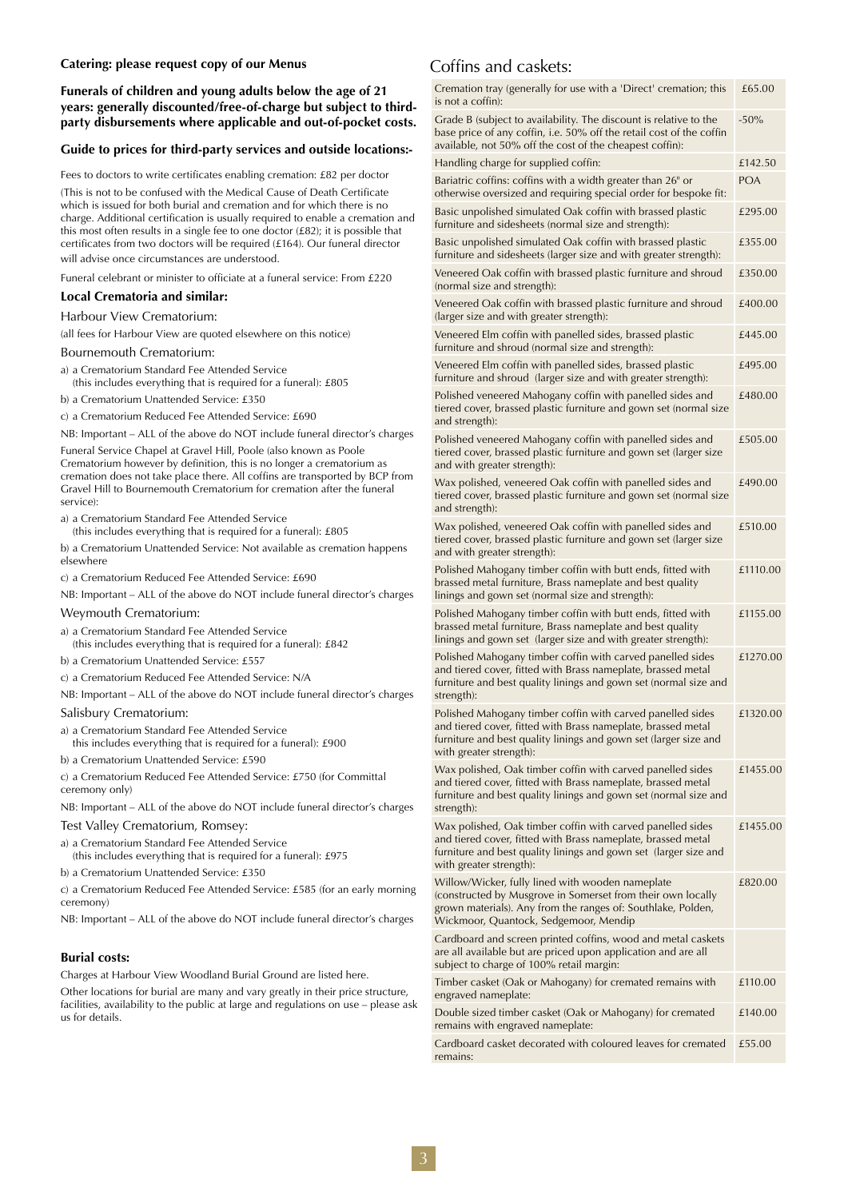#### **Catering: please request copy of our Menus**

**Funerals of children and young adults below the age of 21 years: generally discounted/free-of-charge but subject to thirdparty disbursements where applicable and out-of-pocket costs.**

#### **Guide to prices for third-party services and outside locations:-**

Fees to doctors to write certificates enabling cremation: £82 per doctor (This is not to be confused with the Medical Cause of Death Certificate which is issued for both burial and cremation and for which there is no charge. Additional certification is usually required to enable a cremation and this most often results in a single fee to one doctor (£82); it is possible that certificates from two doctors will be required (£164). Our funeral director will advise once circumstances are understood.

Funeral celebrant or minister to officiate at a funeral service: From £220

#### **Local Crematoria and similar:**

#### Harbour View Crematorium:

(all fees for Harbour View are quoted elsewhere on this notice)

#### Bournemouth Crematorium:

- a) a Crematorium Standard Fee Attended Service (this includes everything that is required for a funeral): £805
- b) a Crematorium Unattended Service: £350
- c) a Crematorium Reduced Fee Attended Service: £690

NB: Important – ALL of the above do NOT include funeral director's charges Funeral Service Chapel at Gravel Hill, Poole (also known as Poole Crematorium however by definition, this is no longer a crematorium as cremation does not take place there. All coffins are transported by BCP from Gravel Hill to Bournemouth Crematorium for cremation after the funeral service):

a) a Crematorium Standard Fee Attended Service

(this includes everything that is required for a funeral): £805

b) a Crematorium Unattended Service: Not available as cremation happens elsewhere

c) a Crematorium Reduced Fee Attended Service: £690

NB: Important – ALL of the above do NOT include funeral director's charges

#### Weymouth Crematorium:

- a) a Crematorium Standard Fee Attended Service (this includes everything that is required for a funeral): £842
- b) a Crematorium Unattended Service: £557

c) a Crematorium Reduced Fee Attended Service: N/A

NB: Important – ALL of the above do NOT include funeral director's charges

#### Salisbury Crematorium:

- a) a Crematorium Standard Fee Attended Service this includes everything that is required for a funeral): £900
- b) a Crematorium Unattended Service: £590

c) a Crematorium Reduced Fee Attended Service: £750 (for Committal ceremony only)

NB: Important – ALL of the above do NOT include funeral director's charges

Test Valley Crematorium, Romsey:

- a) a Crematorium Standard Fee Attended Service
- (this includes everything that is required for a funeral): £975
- b) a Crematorium Unattended Service: £350

c) a Crematorium Reduced Fee Attended Service: £585 (for an early morning ceremony)

NB: Important – ALL of the above do NOT include funeral director's charges

#### **Burial costs:**

Charges at Harbour View Woodland Burial Ground are listed here.

Other locations for burial are many and vary greatly in their price structure, facilities, availability to the public at large and regulations on use – please ask us for details.

## Coffins and caskets:

| Cremation tray (generally for use with a 'Direct' cremation; this<br>is not a coffin):                                                                                                                                    | £65.00     |
|---------------------------------------------------------------------------------------------------------------------------------------------------------------------------------------------------------------------------|------------|
| Grade B (subject to availability. The discount is relative to the<br>base price of any coffin, i.e. 50% off the retail cost of the coffin<br>available, not 50% off the cost of the cheapest coffin):                     | $-50%$     |
| Handling charge for supplied coffin:                                                                                                                                                                                      | £142.50    |
| Bariatric coffins: coffins with a width greater than 26" or<br>otherwise oversized and requiring special order for bespoke fit:                                                                                           | <b>POA</b> |
| Basic unpolished simulated Oak coffin with brassed plastic<br>furniture and sidesheets (normal size and strength):                                                                                                        | £295.00    |
| Basic unpolished simulated Oak coffin with brassed plastic<br>furniture and sidesheets (larger size and with greater strength):                                                                                           | £355.00    |
| Veneered Oak coffin with brassed plastic furniture and shroud<br>(normal size and strength):                                                                                                                              | £350.00    |
| Veneered Oak coffin with brassed plastic furniture and shroud<br>(larger size and with greater strength):                                                                                                                 | £400.00    |
| Veneered Elm coffin with panelled sides, brassed plastic<br>furniture and shroud (normal size and strength):                                                                                                              | £445.00    |
| Veneered Elm coffin with panelled sides, brassed plastic<br>furniture and shroud (larger size and with greater strength):                                                                                                 | £495.00    |
| Polished veneered Mahogany coffin with panelled sides and<br>tiered cover, brassed plastic furniture and gown set (normal size<br>and strength):                                                                          | £480.00    |
| Polished veneered Mahogany coffin with panelled sides and<br>tiered cover, brassed plastic furniture and gown set (larger size<br>and with greater strength):                                                             | £505.00    |
| Wax polished, veneered Oak coffin with panelled sides and<br>tiered cover, brassed plastic furniture and gown set (normal size<br>and strength):                                                                          | £490.00    |
| Wax polished, veneered Oak coffin with panelled sides and<br>tiered cover, brassed plastic furniture and gown set (larger size<br>and with greater strength):                                                             | £510.00    |
| Polished Mahogany timber coffin with butt ends, fitted with<br>brassed metal furniture, Brass nameplate and best quality<br>linings and gown set (normal size and strength):                                              | £1110.00   |
| Polished Mahogany timber coffin with butt ends, fitted with<br>brassed metal furniture, Brass nameplate and best quality<br>linings and gown set (larger size and with greater strength):                                 | £1155.00   |
| Polished Mahogany timber coffin with carved panelled sides<br>and tiered cover, fitted with Brass nameplate, brassed metal<br>furniture and best quality linings and gown set (normal size and<br>strength):              | £1270.00   |
| Polished Mahogany timber coffin with carved panelled sides<br>and tiered cover, fitted with Brass nameplate, brassed metal<br>furniture and best quality linings and gown set (larger size and<br>with greater strength): | £1320.00   |
| Wax polished, Oak timber coffin with carved panelled sides<br>and tiered cover, fitted with Brass nameplate, brassed metal<br>furniture and best quality linings and gown set (normal size and<br>strength):              | £1455.00   |
| Wax polished, Oak timber coffin with carved panelled sides<br>and tiered cover, fitted with Brass nameplate, brassed metal<br>furniture and best quality linings and gown set (larger size and<br>with greater strength): | £1455.00   |
| Willow/Wicker, fully lined with wooden nameplate<br>(constructed by Musgrove in Somerset from their own locally<br>grown materials). Any from the ranges of: Southlake, Polden,<br>Wickmoor, Quantock, Sedgemoor, Mendip  | £820.00    |
| Cardboard and screen printed coffins, wood and metal caskets<br>are all available but are priced upon application and are all<br>subject to charge of 100% retail margin:                                                 |            |
| Timber casket (Oak or Mahogany) for cremated remains with<br>engraved nameplate:                                                                                                                                          | £110.00    |
| Double sized timber casket (Oak or Mahogany) for cremated<br>remains with engraved nameplate:                                                                                                                             | £140.00    |
| Cardboard casket decorated with coloured leaves for cremated<br>remains:                                                                                                                                                  | £55.00     |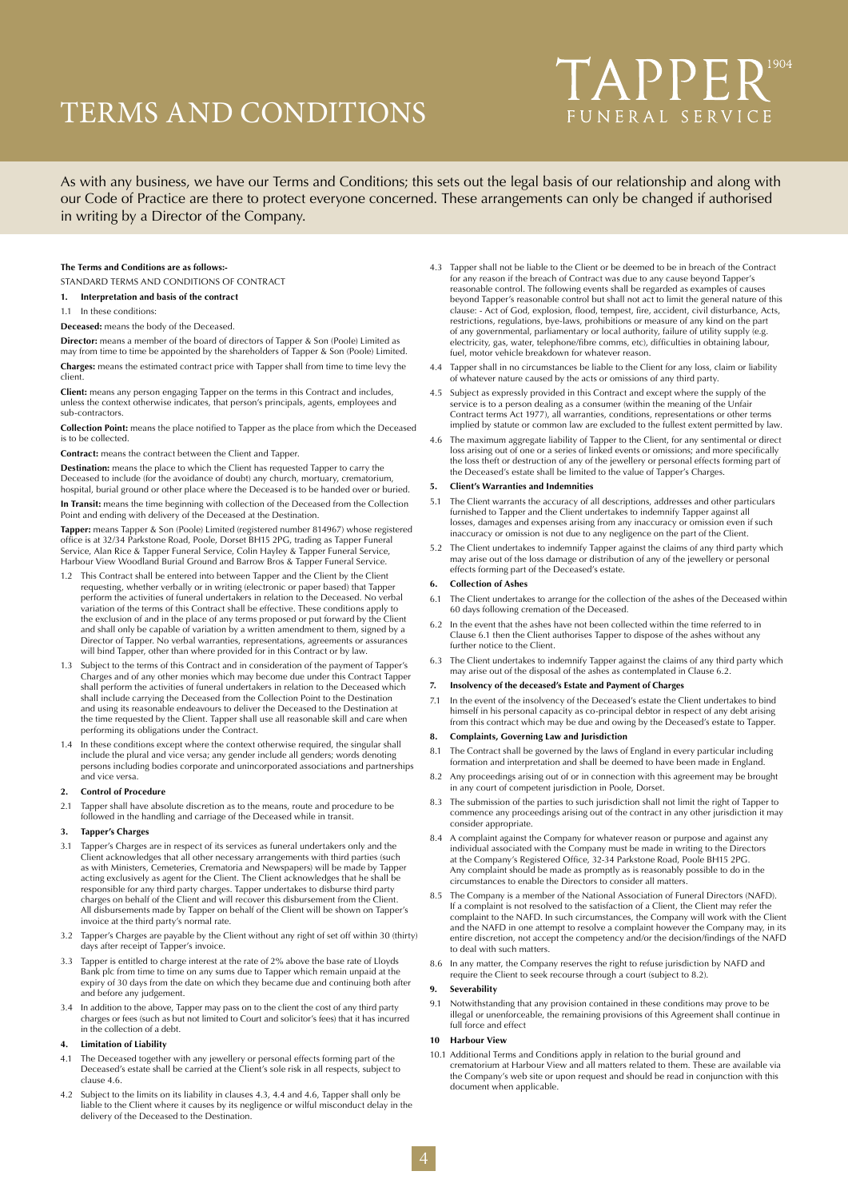# TERMS AND CONDITIONS

# TAPPER<sup>1904</sup> FUNERAL SERVICE

As with any business, we have our Terms and Conditions; this sets out the legal basis of our relationship and along with our Code of Practice are there to protect everyone concerned. These arrangements can only be changed if authorised in writing by a Director of the Company.

#### **The Terms and Conditions are as follows:-**

STANDARD TERMS AND CONDITIONS OF CONTRACT

- **1. Interpretation and basis of the contract**
- 1.1 In these conditions:

**Deceased:** means the body of the Deceased.

**Director:** means a member of the board of directors of Tapper & Son (Poole) Limited as may from time to time be appointed by the shareholders of Tapper & Son (Poole) Limited. **Charges:** means the estimated contract price with Tapper shall from time to time levy the

client. **Client:** means any person engaging Tapper on the terms in this Contract and includes, unless the context otherwise indicates, that person's principals, agents, employees and sub-contractors.

**Collection Point:** means the place notified to Tapper as the place from which the Deceased is to be collected.

**Contract:** means the contract between the Client and Tapper.

**Destination:** means the place to which the Client has requested Tapper to carry the Deceased to include (for the avoidance of doubt) any church, mortuary, crematorium hospital, burial ground or other place where the Deceased is to be handed over or buried.

**In Transit:** means the time beginning with collection of the Deceased from the Collection Point and ending with delivery of the Deceased at the Destination.

**Tapper:** means Tapper & Son (Poole) Limited (registered number 814967) whose registered office is at 32/34 Parkstone Road, Poole, Dorset BH15 2PG, trading as Tapper Funeral Service, Alan Rice & Tapper Funeral Service, Colin Hayley & Tapper Funeral Service, Harbour View Woodland Burial Ground and Barrow Bros & Tapper Funeral Service.

- 1.2 This Contract shall be entered into between Tapper and the Client by the Client requesting, whether verbally or in writing (electronic or paper based) that Tapper perform the activities of funeral undertakers in relation to the Deceased. No verbal variation of the terms of this Contract shall be effective. These conditions apply to the exclusion of and in the place of any terms proposed or put forward by the Client and shall only be capable of variation by a written amendment to them, signed by a Director of Tapper. No verbal warranties, representations, agreements or assurances will bind Tapper, other than where provided for in this Contract or by law.
- Subject to the terms of this Contract and in consideration of the payment of Tapper's Charges and of any other monies which may become due under this Contract Tapper shall perform the activities of funeral undertakers in relation to the Deceased which shall include carrying the Deceased from the Collection Point to the Destination and using its reasonable endeavours to deliver the Deceased to the Destination at the time requested by the Client. Tapper shall use all reasonable skill and care when performing its obligations under the Contract.
- 1.4 In these conditions except where the context otherwise required, the singular shall include the plural and vice versa; any gender include all genders; words denoting persons including bodies corporate and unincorporated associations and partnerships and vice versa.

#### **2. Control of Procedure**

2.1 Tapper shall have absolute discretion as to the means, route and procedure to be followed in the handling and carriage of the Deceased while in transit.

#### **3. Tapper's Charges**

- 3.1 Tapper's Charges are in respect of its services as funeral undertakers only and the Client acknowledges that all other necessary arrangements with third parties (such as with Ministers, Cemeteries, Crematoria and Newspapers) will be made by Tapper acting exclusively as agent for the Client. The Client acknowledges that he shall be responsible for any third party charges. Tapper undertakes to disburse third party charges on behalf of the Client and will recover this disbursement from the Client. All disbursements made by Tapper on behalf of the Client will be shown on Tapper's invoice at the third party's normal rate.
- 3.2 Tapper's Charges are payable by the Client without any right of set off within 30 (thirty) days after receipt of Tapper's invoice.
- 3.3 Tapper is entitled to charge interest at the rate of 2% above the base rate of Lloyds Bank plc from time to time on any sums due to Tapper which remain unpaid at the expiry of 30 days from the date on which they became due and continuing both after and before any judgement.
- 3.4 In addition to the above, Tapper may pass on to the client the cost of any third party charges or fees (such as but not limited to Court and solicitor's fees) that it has incurred in the collection of a debt.

#### **4. Limitation of Liability**

- 4.1 The Deceased together with any jewellery or personal effects forming part of the Deceased's estate shall be carried at the Client's sole risk in all respects, subject to clause 4.6.
- 4.2 Subject to the limits on its liability in clauses 4.3, 4.4 and 4.6, Tapper shall only be liable to the Client where it causes by its negligence or wilful misconduct delay in the delivery of the Deceased to the Destination.
- 4.3 Tapper shall not be liable to the Client or be deemed to be in breach of the Contract for any reason if the breach of Contract was due to any cause beyond Tapper's reasonable control. The following events shall be regarded as examples of causes beyond Tapper's reasonable control but shall not act to limit the general nature of this clause: - Act of God, explosion, flood, tempest, fire, accident, civil disturbance, Acts, restrictions, regulations, bye-laws, prohibitions or measure of any kind on the part of any governmental, parliamentary or local authority, failure of utility supply (e.g. electricity, gas, water, telephone/fibre comms, etc), difficulties in obtaining labour, fuel, motor vehicle breakdown for whatever reason.
- 4.4 Tapper shall in no circumstances be liable to the Client for any loss, claim or liability of whatever nature caused by the acts or omissions of any third party.
- 4.5 Subject as expressly provided in this Contract and except where the supply of the service is to a person dealing as a consumer (within the meaning of the Unfair Contract terms Act 1977), all warranties, conditions, representations or other terms implied by statute or common law are excluded to the fullest extent permitted by law.
- 4.6 The maximum aggregate liability of Tapper to the Client, for any sentimental or direct loss arising out of one or a series of linked events or omissions; and more specifically the loss theft or destruction of any of the jewellery or personal effects forming part of the Deceased's estate shall be limited to the value of Tapper's Charges.

#### **5. Client's Warranties and Indemnities**

- 5.1 The Client warrants the accuracy of all descriptions, addresses and other particulars furnished to Tapper and the Client undertakes to indemnify Tapper against all losses, damages and expenses arising from any inaccuracy or omission even if such inaccuracy or omission is not due to any negligence on the part of the Client.
- 5.2 The Client undertakes to indemnify Tapper against the claims of any third party which may arise out of the loss damage or distribution of any of the jewellery or personal effects forming part of the Deceased's estate.

#### **6. Collection of Ashes**

- 6.1 The Client undertakes to arrange for the collection of the ashes of the Deceased within 60 days following cremation of the Deceased.
- 6.2 In the event that the ashes have not been collected within the time referred to in Clause 6.1 then the Client authorises Tapper to dispose of the ashes without any further notice to the Client.
- 6.3 The Client undertakes to indemnify Tapper against the claims of any third party which may arise out of the disposal of the ashes as contemplated in Clause 6.2.

#### **7. Insolvency of the deceased's Estate and Payment of Charges**

7.1 In the event of the insolvency of the Deceased's estate the Client undertakes to bind himself in his personal capacity as co-principal debtor in respect of any debt arising from this contract which may be due and owing by the Deceased's estate to Tapper.

#### **8. Complaints, Governing Law and Jurisdiction**

- 8.1 The Contract shall be governed by the laws of England in every particular including formation and interpretation and shall be deemed to have been made in England.
- 8.2 Any proceedings arising out of or in connection with this agreement may be brought in any court of competent jurisdiction in Poole, Dorset.
- 8.3 The submission of the parties to such jurisdiction shall not limit the right of Tapper to commence any proceedings arising out of the contract in any other jurisdiction it may consider appropriate.
- A complaint against the Company for whatever reason or purpose and against any individual associated with the Company must be made in writing to the Directors at the Company's Registered Office, 32-34 Parkstone Road, Poole BH15 2PG. Any complaint should be made as promptly as is reasonably possible to do in the circumstances to enable the Directors to consider all matters.
- 8.5 The Company is a member of the National Association of Funeral Directors (NAFD). If a complaint is not resolved to the satisfaction of a Client, the Client may refer the complaint to the NAFD. In such circumstances, the Company will work with the Client and the NAFD in one attempt to resolve a complaint however the Company may, in its entire discretion, not accept the competency and/or the decision/findings of the NAFD to deal with such matters.
- 8.6 In any matter, the Company reserves the right to refuse jurisdiction by NAFD and require the Client to seek recourse through a court (subject to 8.2).

#### **9. Severability**

9.1 Notwithstanding that any provision contained in these conditions may prove to be illegal or unenforceable, the remaining provisions of this Agreement shall continue in full force and effect

#### **10 Harbour View**

10.1 Additional Terms and Conditions apply in relation to the burial ground and crematorium at Harbour View and all matters related to them. These are available via the Company's web site or upon request and should be read in conjunction with this document when applicable.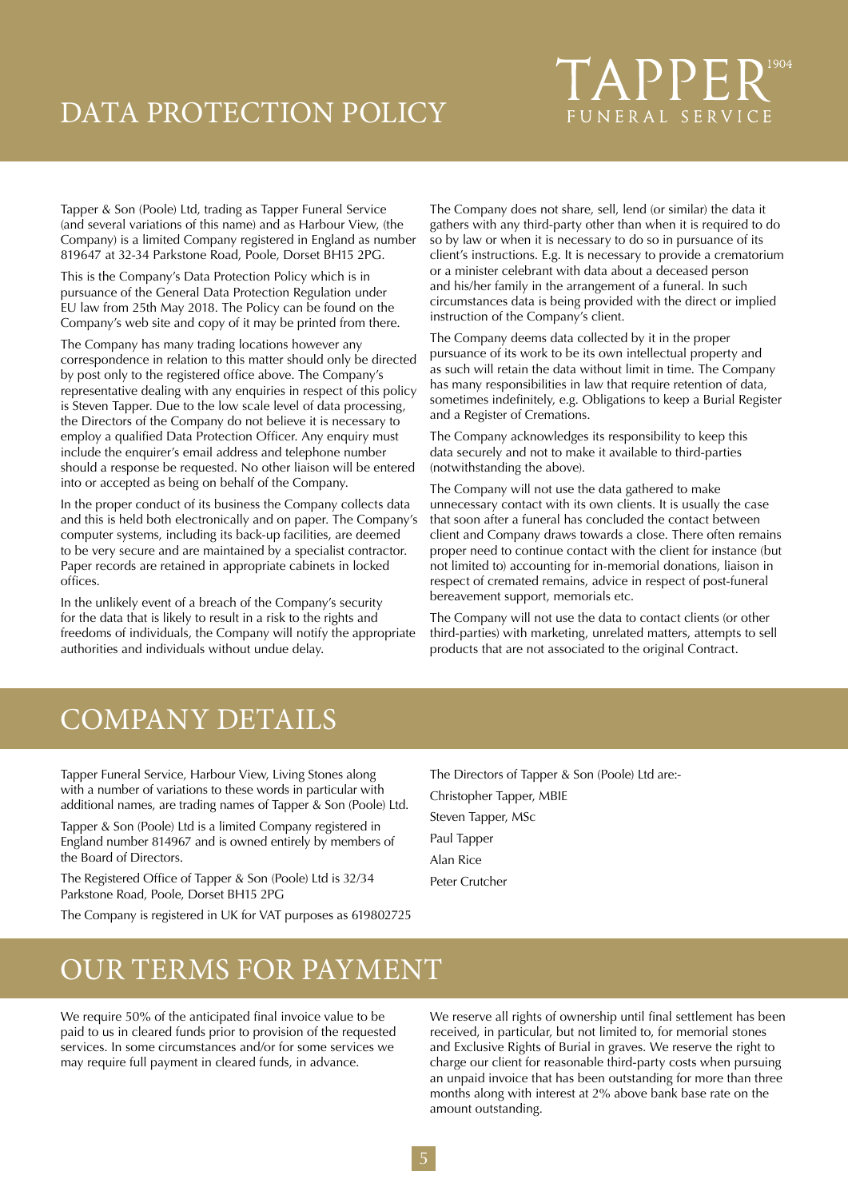# DATA PROTECTION POLICY

# **TAPPER** FUNERAL SERVICE

Tapper & Son (Poole) Ltd, trading as Tapper Funeral Service (and several variations of this name) and as Harbour View, (the Company) is a limited Company registered in England as number 819647 at 32-34 Parkstone Road, Poole, Dorset BH15 2PG.

This is the Company's Data Protection Policy which is in pursuance of the General Data Protection Regulation under EU law from 25th May 2018. The Policy can be found on the Company's web site and copy of it may be printed from there.

The Company has many trading locations however any correspondence in relation to this matter should only be directed by post only to the registered office above. The Company's representative dealing with any enquiries in respect of this policy is Steven Tapper. Due to the low scale level of data processing, the Directors of the Company do not believe it is necessary to employ a qualified Data Protection Officer. Any enquiry must include the enquirer's email address and telephone number should a response be requested. No other liaison will be entered into or accepted as being on behalf of the Company.

In the proper conduct of its business the Company collects data and this is held both electronically and on paper. The Company's computer systems, including its back-up facilities, are deemed to be very secure and are maintained by a specialist contractor. Paper records are retained in appropriate cabinets in locked offices.

In the unlikely event of a breach of the Company's security for the data that is likely to result in a risk to the rights and freedoms of individuals, the Company will notify the appropriate authorities and individuals without undue delay.

The Company does not share, sell, lend (or similar) the data it gathers with any third-party other than when it is required to do so by law or when it is necessary to do so in pursuance of its client's instructions. E.g. It is necessary to provide a crematorium or a minister celebrant with data about a deceased person and his/her family in the arrangement of a funeral. In such circumstances data is being provided with the direct or implied instruction of the Company's client.

The Company deems data collected by it in the proper pursuance of its work to be its own intellectual property and as such will retain the data without limit in time. The Company has many responsibilities in law that require retention of data, sometimes indefinitely, e.g. Obligations to keep a Burial Register and a Register of Cremations.

The Company acknowledges its responsibility to keep this data securely and not to make it available to third-parties (notwithstanding the above).

The Company will not use the data gathered to make unnecessary contact with its own clients. It is usually the case that soon after a funeral has concluded the contact between client and Company draws towards a close. There often remains proper need to continue contact with the client for instance (but not limited to) accounting for in-memorial donations, liaison in respect of cremated remains, advice in respect of post-funeral bereavement support, memorials etc.

The Company will not use the data to contact clients (or other third-parties) with marketing, unrelated matters, attempts to sell products that are not associated to the original Contract.

# COMPANY DETAILS

Tapper Funeral Service, Harbour View, Living Stones along with a number of variations to these words in particular with additional names, are trading names of Tapper & Son (Poole) Ltd.

Tapper & Son (Poole) Ltd is a limited Company registered in England number 814967 and is owned entirely by members of the Board of Directors.

The Registered Office of Tapper & Son (Poole) Ltd is 32/34 Parkstone Road, Poole, Dorset BH15 2PG

The Company is registered in UK for VAT purposes as 619802725

The Directors of Tapper & Son (Poole) Ltd are:- Christopher Tapper, MBIE Steven Tapper, MSc Paul Tapper Alan Rice Peter Crutcher

# OUR TERMS FOR PAYMENT

We require 50% of the anticipated final invoice value to be paid to us in cleared funds prior to provision of the requested services. In some circumstances and/or for some services we may require full payment in cleared funds, in advance.

We reserve all rights of ownership until final settlement has been received, in particular, but not limited to, for memorial stones and Exclusive Rights of Burial in graves. We reserve the right to charge our client for reasonable third-party costs when pursuing an unpaid invoice that has been outstanding for more than three months along with interest at 2% above bank base rate on the amount outstanding.